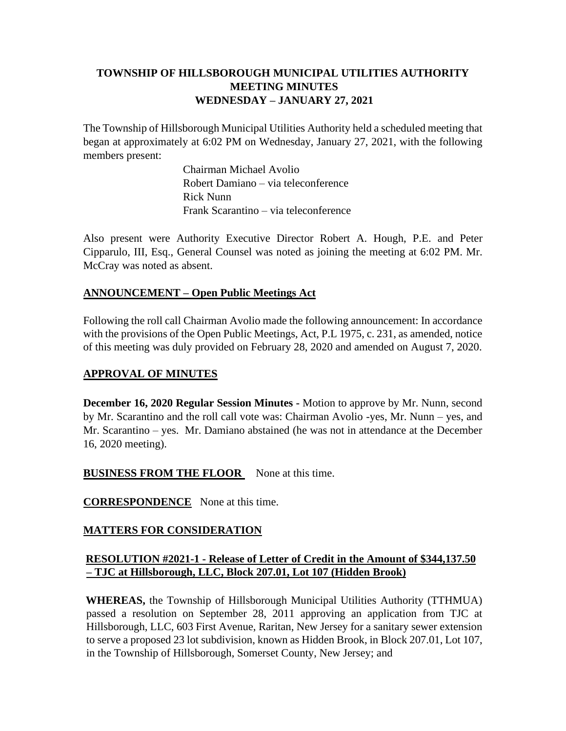## **TOWNSHIP OF HILLSBOROUGH MUNICIPAL UTILITIES AUTHORITY MEETING MINUTES WEDNESDAY – JANUARY 27, 2021**

The Township of Hillsborough Municipal Utilities Authority held a scheduled meeting that began at approximately at 6:02 PM on Wednesday, January 27, 2021, with the following members present:

> Chairman Michael Avolio Robert Damiano – via teleconference Rick Nunn Frank Scarantino – via teleconference

Also present were Authority Executive Director Robert A. Hough, P.E. and Peter Cipparulo, III, Esq., General Counsel was noted as joining the meeting at 6:02 PM. Mr. McCray was noted as absent.

### **ANNOUNCEMENT – Open Public Meetings Act**

Following the roll call Chairman Avolio made the following announcement: In accordance with the provisions of the Open Public Meetings, Act, P.L 1975, c. 231, as amended, notice of this meeting was duly provided on February 28, 2020 and amended on August 7, 2020.

### **APPROVAL OF MINUTES**

**December 16, 2020 Regular Session Minutes -** Motion to approve by Mr. Nunn, second by Mr. Scarantino and the roll call vote was: Chairman Avolio -yes, Mr. Nunn – yes, and Mr. Scarantino – yes. Mr. Damiano abstained (he was not in attendance at the December 16, 2020 meeting).

### **BUSINESS FROM THE FLOOR** None at this time.

**CORRESPONDENCE** None at this time.

### **MATTERS FOR CONSIDERATION**

## **RESOLUTION #2021-1 - Release of Letter of Credit in the Amount of \$344,137.50 – TJC at Hillsborough, LLC, Block 207.01, Lot 107 (Hidden Brook)**

**WHEREAS,** the Township of Hillsborough Municipal Utilities Authority (TTHMUA) passed a resolution on September 28, 2011 approving an application from TJC at Hillsborough, LLC, 603 First Avenue, Raritan, New Jersey for a sanitary sewer extension to serve a proposed 23 lot subdivision, known as Hidden Brook, in Block 207.01, Lot 107, in the Township of Hillsborough, Somerset County, New Jersey; and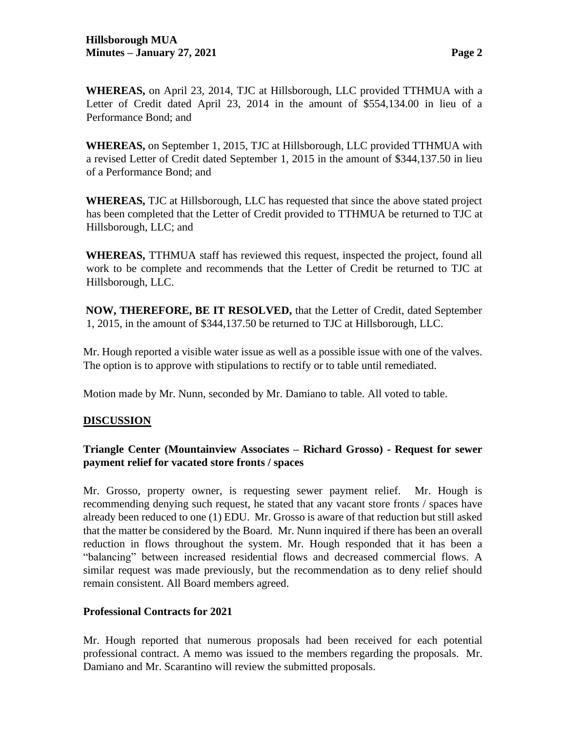**WHEREAS,** on April 23, 2014, TJC at Hillsborough, LLC provided TTHMUA with a Letter of Credit dated April 23, 2014 in the amount of \$554,134.00 in lieu of a Performance Bond; and

**WHEREAS,** on September 1, 2015, TJC at Hillsborough, LLC provided TTHMUA with a revised Letter of Credit dated September 1, 2015 in the amount of \$344,137.50 in lieu of a Performance Bond; and

**WHEREAS,** TJC at Hillsborough, LLC has requested that since the above stated project has been completed that the Letter of Credit provided to TTHMUA be returned to TJC at Hillsborough, LLC; and

**WHEREAS,** TTHMUA staff has reviewed this request, inspected the project, found all work to be complete and recommends that the Letter of Credit be returned to TJC at Hillsborough, LLC.

**NOW, THEREFORE, BE IT RESOLVED,** that the Letter of Credit, dated September 1, 2015, in the amount of \$344,137.50 be returned to TJC at Hillsborough, LLC.

Mr. Hough reported a visible water issue as well as a possible issue with one of the valves. The option is to approve with stipulations to rectify or to table until remediated.

Motion made by Mr. Nunn, seconded by Mr. Damiano to table. All voted to table.

### **DISCUSSION**

### **Triangle Center (Mountainview Associates – Richard Grosso) - Request for sewer payment relief for vacated store fronts / spaces**

Mr. Grosso, property owner, is requesting sewer payment relief. Mr. Hough is recommending denying such request, he stated that any vacant store fronts / spaces have already been reduced to one (1) EDU. Mr. Grosso is aware of that reduction but still asked that the matter be considered by the Board. Mr. Nunn inquired if there has been an overall reduction in flows throughout the system. Mr. Hough responded that it has been a "balancing" between increased residential flows and decreased commercial flows. A similar request was made previously, but the recommendation as to deny relief should remain consistent. All Board members agreed.

#### **Professional Contracts for 2021**

Mr. Hough reported that numerous proposals had been received for each potential professional contract. A memo was issued to the members regarding the proposals. Mr. Damiano and Mr. Scarantino will review the submitted proposals.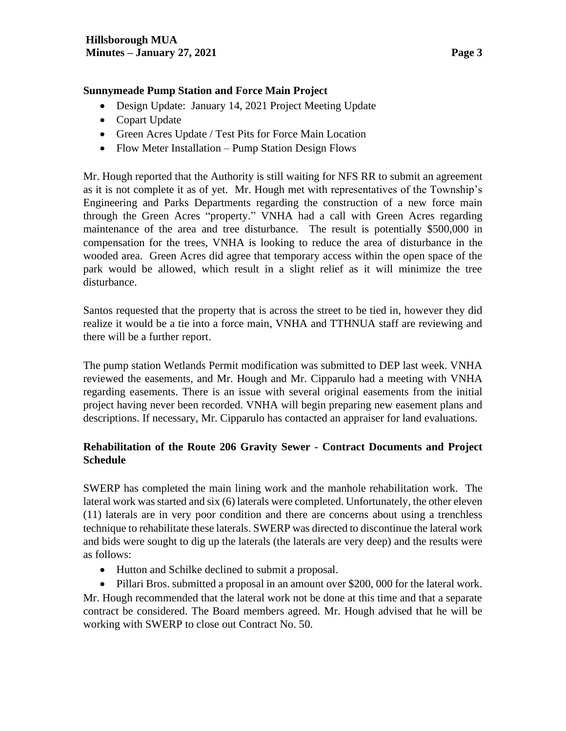### **Sunnymeade Pump Station and Force Main Project**

- Design Update: January 14, 2021 Project Meeting Update
- Copart Update
- Green Acres Update / Test Pits for Force Main Location
- Flow Meter Installation Pump Station Design Flows

Mr. Hough reported that the Authority is still waiting for NFS RR to submit an agreement as it is not complete it as of yet. Mr. Hough met with representatives of the Township's Engineering and Parks Departments regarding the construction of a new force main through the Green Acres "property." VNHA had a call with Green Acres regarding maintenance of the area and tree disturbance. The result is potentially \$500,000 in compensation for the trees, VNHA is looking to reduce the area of disturbance in the wooded area. Green Acres did agree that temporary access within the open space of the park would be allowed, which result in a slight relief as it will minimize the tree disturbance.

Santos requested that the property that is across the street to be tied in, however they did realize it would be a tie into a force main, VNHA and TTHNUA staff are reviewing and there will be a further report.

The pump station Wetlands Permit modification was submitted to DEP last week. VNHA reviewed the easements, and Mr. Hough and Mr. Cipparulo had a meeting with VNHA regarding easements. There is an issue with several original easements from the initial project having never been recorded. VNHA will begin preparing new easement plans and descriptions. If necessary, Mr. Cipparulo has contacted an appraiser for land evaluations.

## **Rehabilitation of the Route 206 Gravity Sewer - Contract Documents and Project Schedule**

SWERP has completed the main lining work and the manhole rehabilitation work. The lateral work was started and six (6) laterals were completed. Unfortunately, the other eleven (11) laterals are in very poor condition and there are concerns about using a trenchless technique to rehabilitate these laterals. SWERP was directed to discontinue the lateral work and bids were sought to dig up the laterals (the laterals are very deep) and the results were as follows:

- Hutton and Schilke declined to submit a proposal.
- Pillari Bros. submitted a proposal in an amount over \$200,000 for the lateral work.

Mr. Hough recommended that the lateral work not be done at this time and that a separate contract be considered. The Board members agreed. Mr. Hough advised that he will be working with SWERP to close out Contract No. 50.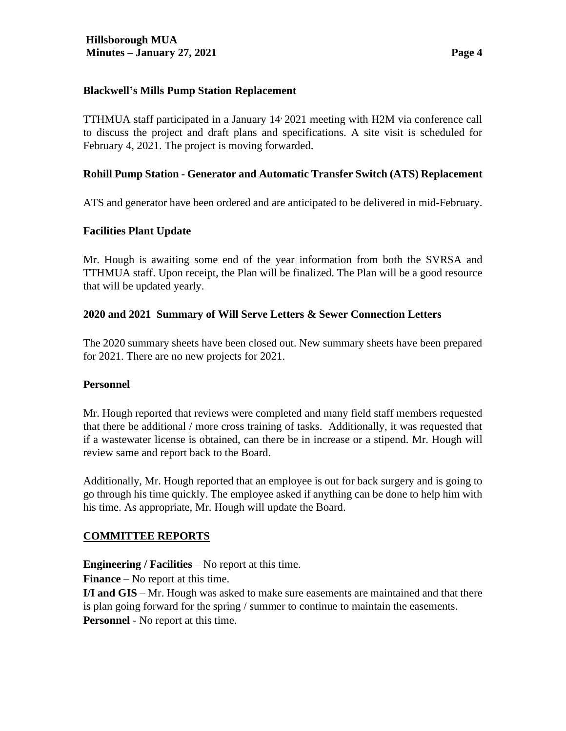### **Blackwell's Mills Pump Station Replacement**

TTHMUA staff participated in a January 14, 2021 meeting with H2M via conference call to discuss the project and draft plans and specifications. A site visit is scheduled for February 4, 2021. The project is moving forwarded.

### **Rohill Pump Station - Generator and Automatic Transfer Switch (ATS) Replacement**

ATS and generator have been ordered and are anticipated to be delivered in mid-February.

### **Facilities Plant Update**

Mr. Hough is awaiting some end of the year information from both the SVRSA and TTHMUA staff. Upon receipt, the Plan will be finalized. The Plan will be a good resource that will be updated yearly.

### **2020 and 2021 Summary of Will Serve Letters & Sewer Connection Letters**

The 2020 summary sheets have been closed out. New summary sheets have been prepared for 2021. There are no new projects for 2021.

#### **Personnel**

Mr. Hough reported that reviews were completed and many field staff members requested that there be additional / more cross training of tasks. Additionally, it was requested that if a wastewater license is obtained, can there be in increase or a stipend. Mr. Hough will review same and report back to the Board.

Additionally, Mr. Hough reported that an employee is out for back surgery and is going to go through his time quickly. The employee asked if anything can be done to help him with his time. As appropriate, Mr. Hough will update the Board.

### **COMMITTEE REPORTS**

**Engineering / Facilities** – No report at this time.

**Finance** – No report at this time.

**I/I and GIS** – Mr. Hough was asked to make sure easements are maintained and that there is plan going forward for the spring / summer to continue to maintain the easements. **Personnel** - No report at this time.